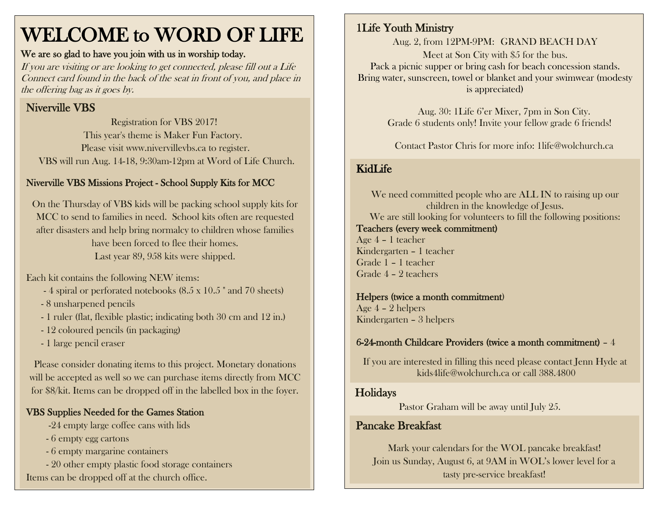# WELCOME to WORD OF LIFE

#### We are so glad to have you join with us in worship today.

If you are visiting or are looking to get connected, please fill out a Life Connect card found in the back of the seat in front of you, and place in the offering bag as it goes by.

# Niverville VBS

 Registration for VBS 2017! This year's theme is Maker Fun Factory. Please visit www.nivervillevbs.ca to register. VBS will run Aug. 14-18, 9:30am-12pm at Word of Life Church.

# Niverville VBS Missions Project - School Supply Kits for MCC

On the Thursday of VBS kids will be packing school supply kits for MCC to send to families in need. School kits often are requested after disasters and help bring normalcy to children whose families have been forced to flee their homes. Last year 89, 958 kits were shipped.

Each kit contains the following NEW items:

- 4 spiral or perforated notebooks (8.5 x 10.5 " and 70 sheets)
- 8 unsharpened pencils
- 1 ruler (flat, flexible plastic; indicating both 30 cm and 12 in.)
- 12 coloured pencils (in packaging)
- 1 large pencil eraser

Please consider donating items to this project. Monetary donations will be accepted as well so we can purchase items directly from MCC for \$8/kit. Items can be dropped off in the labelled box in the foyer.

# VBS Supplies Needed for the Games Station

- -24 empty large coffee cans with lids
- 6 empty egg cartons
- 6 empty margarine containers
- 20 other empty plastic food storage containers Items can be dropped off at the church office.

# 1Life Youth Ministry

Aug. 2, from 12PM-9PM: GRAND BEACH DAY Meet at Son City with \$5 for the bus. Pack a picnic supper or bring cash for beach concession stands. Bring water, sunscreen, towel or blanket and your swimwear (modesty is appreciated)

> Aug. 30: 1Life 6'er Mixer, 7pm in Son City. Grade 6 students only! Invite your fellow grade 6 friends!

Contact Pastor Chris for more info: [1life@wolchurch.ca](mailto:1life@wolchurch.ca)

# KidLife

We need committed people who are ALL IN to raising up our children in the knowledge of Jesus. We are still looking for volunteers to fill the following positions: Teachers (every week commitment) Age 4 – 1 teacher Kindergarten – 1 teacher Grade 1 – 1 teacher Grade 4 – 2 teachers

#### Helpers (twice a month commitment)

Age 4 – 2 helpers Kindergarten – 3 helpers

## 6-24-month Childcare Providers (twice a month commitment) – 4

If you are interested in filling this need please contact Jenn Hyde at [kids4life@wolchurch.ca](mailto:kids4life@wolchurch.ca) or call 388.4800

## **Holidays**

Pastor Graham will be away until July 25.

# Pancake Breakfast

Mark your calendars for the WOL pancake breakfast! Join us Sunday, August 6, at 9AM in WOL's lower level for a tasty pre-service breakfast!